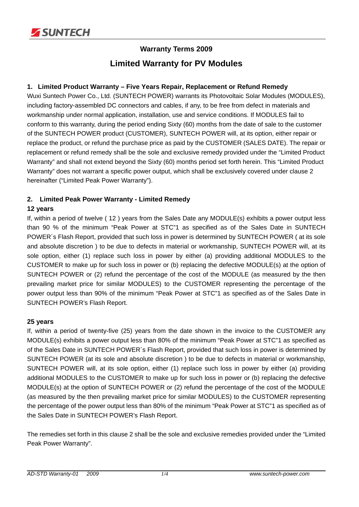

# **Warranty Terms 2009 Limited Warranty for PV Modules**

# **1. Limited Product Warranty – Five Years Repair, Replacement or Refund Remedy**

Wuxi Suntech Power Co., Ltd. (SUNTECH POWER) warrants its Photovoltaic Solar Modules (MODULES), including factory-assembled DC connectors and cables, if any, to be free from defect in materials and workmanship under normal application, installation, use and service conditions. If MODULES fail to conform to this warranty, during the period ending Sixty (60) months from the date of sale to the customer of the SUNTECH POWER product (CUSTOMER), SUNTECH POWER will, at its option, either repair or replace the product, or refund the purchase price as paid by the CUSTOMER (SALES DATE). The repair or replacement or refund remedy shall be the sole and exclusive remedy provided under the "Limited Product Warranty" and shall not extend beyond the Sixty (60) months period set forth herein. This "Limited Product Warranty" does not warrant a specific power output, which shall be exclusively covered under clause 2 hereinafter ("Limited Peak Power Warranty").

# **2. Limited Peak Power Warranty - Limited Remedy**

# **12 years**

If, within a period of twelve ( 12 ) years from the Sales Date any MODULE(s) exhibits a power output less than 90 % of the minimum "Peak Power at STC"1 as specified as of the Sales Date in SUNTECH POWER´s Flash Report, provided that such loss in power is determined by SUNTECH POWER ( at its sole and absolute discretion ) to be due to defects in material or workmanship, SUNTECH POWER will, at its sole option, either (1) replace such loss in power by either (a) providing additional MODULES to the CUSTOMER to make up for such loss in power or (b) replacing the defective MODULE(s) at the option of SUNTECH POWER or (2) refund the percentage of the cost of the MODULE (as measured by the then prevailing market price for similar MODULES) to the CUSTOMER representing the percentage of the power output less than 90% of the minimum "Peak Power at STC"1 as specified as of the Sales Date in SUNTECH POWER's Flash Report.

# **25 years**

If, within a period of twenty-five (25) years from the date shown in the invoice to the CUSTOMER any MODULE(s) exhibits a power output less than 80% of the minimum "Peak Power at STC"1 as specified as of the Sales Date in SUNTECH POWER´s Flash Report, provided that such loss in power is determined by SUNTECH POWER (at its sole and absolute discretion ) to be due to defects in material or workmanship, SUNTECH POWER will, at its sole option, either (1) replace such loss in power by either (a) providing additional MODULES to the CUSTOMER to make up for such loss in power or (b) replacing the defective MODULE(s) at the option of SUNTECH POWER or (2) refund the percentage of the cost of the MODULE (as measured by the then prevailing market price for similar MODULES) to the CUSTOMER representing the percentage of the power output less than 80% of the minimum "Peak Power at STC"1 as specified as of the Sales Date in SUNTECH POWER's Flash Report.

The remedies set forth in this clause 2 shall be the sole and exclusive remedies provided under the "Limited Peak Power Warranty".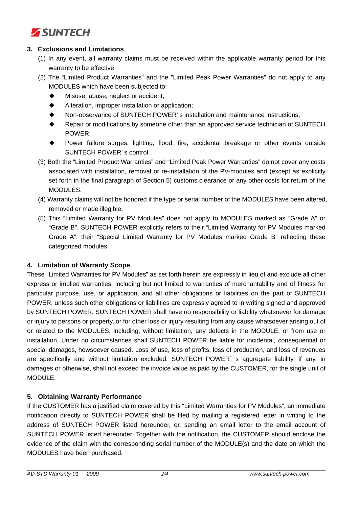

## **3. Exclusions and Limitations**

- (1) In any event, all warranty claims must be received within the applicable warranty period for this warranty to be effective.
- (2) The "Limited Product Warranties" and the "Limited Peak Power Warranties" do not apply to any MODULES which have been subjected to:
	- Misuse, abuse, neglect or accident;
	- ◆ Alteration, improper installation or application:
	- Non-observance of SUNTECH POWER' s installation and maintenance instructions;
	- ◆ Repair or modifications by someone other than an approved service technician of SUNTECH POWER;
	- Power failure surges, lighting, flood, fire, accidental breakage or other events outside SUNTECH POWER' s control.
- (3) Both the "Limited Product Warranties" and "Limited Peak Power Warranties" do not cover any costs associated with installation, removal or re-installation of the PV-modules and (except as explicitly set forth in the final paragraph of Section 5) customs clearance or any other costs for return of the MODULES.
- (4) Warranty claims will not be honored if the type or serial number of the MODULES have been altered, removed or made illegible.
- (5) This "Limited Warranty for PV Modules" does not apply to MODULES marked as "Grade A" or "Grade B". SUNTECH POWER explicitly refers to their "Limited Warranty for PV Modules marked Grade A", their "Special Limited Warranty for PV Modules marked Grade B" reflecting these categorized modules.

#### **4. Limitation of Warranty Scope**

These "Limited Warranties for PV Modules" as set forth herein are expressly in lieu of and exclude all other express or implied warranties, including but not limited to warranties of merchantability and of fitness for particular purpose, use, or application, and all other obligations or liabilities on the part of SUNTECH POWER, unless such other obligations or liabilities are expressly agreed to in writing signed and approved by SUNTECH POWER. SUNTECH POWER shall have no responsibility or liability whatsoever for damage or injury to persons or property, or for other loss or injury resulting from any cause whatsoever arising out of or related to the MODULES, including, without limitation, any defects in the MODULE, or from use or installation. Under no circumstances shall SUNTECH POWER be liable for incidental, consequential or special damages, howsoever caused. Loss of use, loss of profits, loss of production, and loss of revenues are specifically and without limitation excluded. SUNTECH POWER<sup>'</sup> s aggregate liability, if any, in damages or otherwise, shall not exceed the invoice value as paid by the CUSTOMER, for the single unit of MODULE.

# **5. Obtaining Warranty Performance**

If the CUSTOMER has a justified claim covered by this "Limited Warranties for PV Modules", an immediate notification directly to SUNTECH POWER shall be filed by mailing a registered letter in writing to the address of SUNTECH POWER listed hereunder, or, sending an email letter to the email account of SUNTECH POWER listed hereunder. Together with the notification, the CUSTOMER should enclose the evidence of the claim with the corresponding serial number of the MODULE(s) and the date on which the MODULES have been purchased.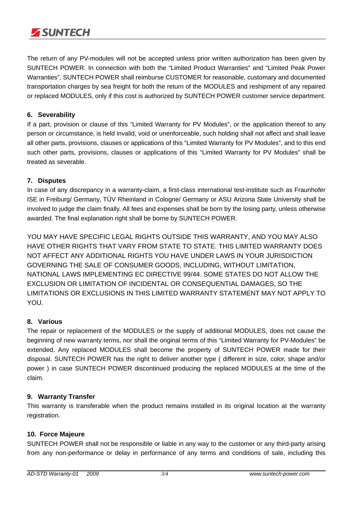

The return of any PV-modules will not be accepted unless prior written authorization has been given by SUNTECH POWER. In connection with both the "Limited Product Warranties" and "Limited Peak Power Warranties", SUNTECH POWER shall reimburse CUSTOMER for reasonable, customary and documented transportation charges by sea freight for both the return of the MODULES and reshipment of any repaired or replaced MODULES, only if this cost is authorized by SUNTECH POWER customer service department.

## **6. Severability**

If a part, provision or clause of this "Limited Warranty for PV Modules", or the application thereof to any person or circumstance, is held invalid, void or unenforceable, such holding shall not affect and shall leave all other parts, provisions, clauses or applications of this "Limited Warranty for PV Modules", and to this end such other parts, provisions, clauses or applications of this "Limited Warranty for PV Modules" shall be treated as severable.

## **7. Disputes**

In case of any discrepancy in a warranty-claim, a first-class international test-institute such as Fraunhofer ISE in Freiburg/ Germany, TÜV Rheinland in Cologne/ Germany or ASU Arizona State University shall be involved to judge the claim finally. All fees and expenses shall be born by the losing party, unless otherwise awarded. The final explanation right shall be borne by SUNTECH POWER.

YOU MAY HAVE SPECIFIC LEGAL RIGHTS OUTSIDE THIS WARRANTY, AND YOU MAY ALSO HAVE OTHER RIGHTS THAT VARY FROM STATE TO STATE. THIS LIMITED WARRANTY DOES NOT AFFECT ANY ADDITIONAL RIGHTS YOU HAVE UNDER LAWS IN YOUR JURISDICTION GOVERNING THE SALE OF CONSUMER GOODS, INCLUDING, WITHOUT LIMITATION, NATIONAL LAWS IMPLEMENTING EC DIRECTIVE 99/44. SOME STATES DO NOT ALLOW THE EXCLUSION OR LIMITATION OF INCIDENTAL OR CONSEQUENTIAL DAMAGES, SO THE LIMITATIONS OR EXCLUSIONS IN THIS LIMITED WARRANTY STATEMENT MAY NOT APPLY TO YOU.

#### **8. Various**

The repair or replacement of the MODULES or the supply of additional MODULES, does not cause the beginning of new warranty terms, nor shall the original terms of this "Limited Warranty for PV-Modules" be extended. Any replaced MODULES shall become the property of SUNTECH POWER made for their disposal. SUNTECH POWER has the right to deliver another type ( different in size, color, shape and/or power ) in case SUNTECH POWER discontinued producing the replaced MODULES at the time of the claim.

#### **9. Warranty Transfer**

This warranty is transferable when the product remains installed in its original location at the warranty registration.

# **10. Force Majeure**

SUNTECH POWER shall not be responsible or liable in any way to the customer or any third-party arising from any non-performance or delay in performance of any terms and conditions of sale, including this